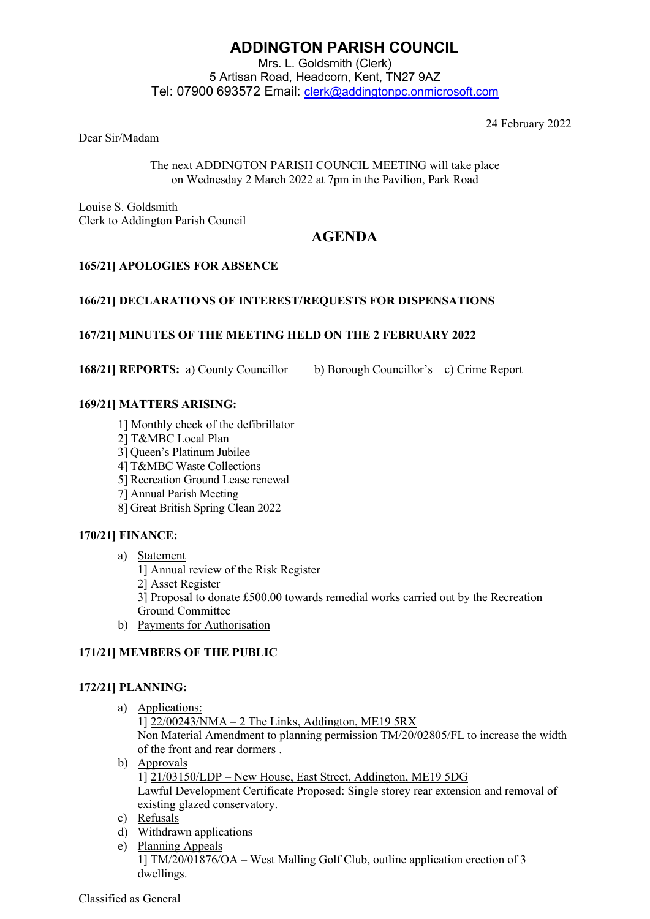# **ADDINGTON PARISH COUNCIL**

Mrs. L. Goldsmith (Clerk) 5 Artisan Road, Headcorn, Kent, TN27 9AZ Tel: 07900 693572 Email: [clerk@addingtonpc.onmicrosoft.com](about:blank)

24 February 2022

Dear Sir/Madam

The next ADDINGTON PARISH COUNCIL MEETING will take place on Wednesday 2 March 2022 at 7pm in the Pavilion, Park Road

Louise S. Goldsmith Clerk to Addington Parish Council

# **AGENDA**

# **165/21] APOLOGIES FOR ABSENCE**

# **166/21] DECLARATIONS OF INTEREST/REQUESTS FOR DISPENSATIONS**

# **167/21] MINUTES OF THE MEETING HELD ON THE 2 FEBRUARY 2022**

**168/21] REPORTS:** a) County Councillor b) Borough Councillor's c) Crime Report

# **169/21] MATTERS ARISING:**

- 1] Monthly check of the defibrillator
- 2] T&MBC Local Plan
- 3] Queen's Platinum Jubilee
- 4] T&MBC Waste Collections
- 5] Recreation Ground Lease renewal
- 7] Annual Parish Meeting
- 8] Great British Spring Clean 2022

# **170/21] FINANCE:**

- a) Statement
	- 1] Annual review of the Risk Register
	- 2] Asset Register
	- 3] Proposal to donate £500.00 towards remedial works carried out by the Recreation Ground Committee
- b) Payments for Authorisation

# **171/21] MEMBERS OF THE PUBLIC**

# **172/21] PLANNING:**

- a) Applications:
	- 1]  $22/00243/NMA 2$  The Links, Addington, ME19 5RX Non Material Amendment to planning permission TM/20/02805/FL to increase the width of the front and rear dormers .
- b) Approvals 1] 21/03150/LDP – New House, East Street, Addington, ME19 5DG Lawful Development Certificate Proposed: Single storey rear extension and removal of existing glazed conservatory.
- c) Refusals
- d) Withdrawn applications
- e) Planning Appeals 1] TM/20/01876/OA – West Malling Golf Club, outline application erection of 3 dwellings.